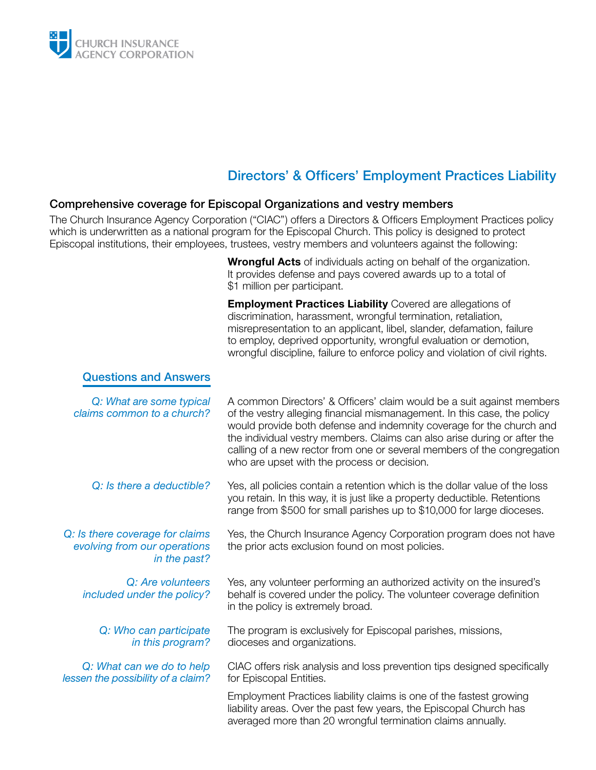

## Directors' & Officers' Employment Practices Liability

## Comprehensive coverage for Episcopal Organizations and vestry members

The Church Insurance Agency Corporation ("CIAC") offers a Directors & Officers Employment Practices policy which is underwritten as a national program for the Episcopal Church. This policy is designed to protect Episcopal institutions, their employees, trustees, vestry members and volunteers against the following:

> **Wrongful Acts** of individuals acting on behalf of the organization. It provides defense and pays covered awards up to a total of \$1 million per participant.

**Employment Practices Liability** Covered are allegations of discrimination, harassment, wrongful termination, retaliation, misrepresentation to an applicant, libel, slander, defamation, failure to employ, deprived opportunity, wrongful evaluation or demotion, wrongful discipline, failure to enforce policy and violation of civil rights.

## Questions and Answers

| Q: What are some typical<br>claims common to a church?                          | A common Directors' & Officers' claim would be a suit against members<br>of the vestry alleging financial mismanagement. In this case, the policy<br>would provide both defense and indemnity coverage for the church and<br>the individual vestry members. Claims can also arise during or after the<br>calling of a new rector from one or several members of the congregation<br>who are upset with the process or decision. |
|---------------------------------------------------------------------------------|---------------------------------------------------------------------------------------------------------------------------------------------------------------------------------------------------------------------------------------------------------------------------------------------------------------------------------------------------------------------------------------------------------------------------------|
| Q: Is there a deductible?                                                       | Yes, all policies contain a retention which is the dollar value of the loss<br>you retain. In this way, it is just like a property deductible. Retentions<br>range from \$500 for small parishes up to \$10,000 for large dioceses.                                                                                                                                                                                             |
| Q: Is there coverage for claims<br>evolving from our operations<br>in the past? | Yes, the Church Insurance Agency Corporation program does not have<br>the prior acts exclusion found on most policies.                                                                                                                                                                                                                                                                                                          |
| Q: Are volunteers<br>included under the policy?                                 | Yes, any volunteer performing an authorized activity on the insured's<br>behalf is covered under the policy. The volunteer coverage definition<br>in the policy is extremely broad.                                                                                                                                                                                                                                             |
| Q: Who can participate<br>in this program?                                      | The program is exclusively for Episcopal parishes, missions,<br>dioceses and organizations.                                                                                                                                                                                                                                                                                                                                     |
| Q: What can we do to help<br>lessen the possibility of a claim?                 | CIAC offers risk analysis and loss prevention tips designed specifically<br>for Episcopal Entities.                                                                                                                                                                                                                                                                                                                             |
|                                                                                 | Employment Practices liability claims is one of the fastest growing<br>liability areas. Over the past few years, the Episcopal Church has<br>averaged more than 20 wrongful termination claims annually.                                                                                                                                                                                                                        |